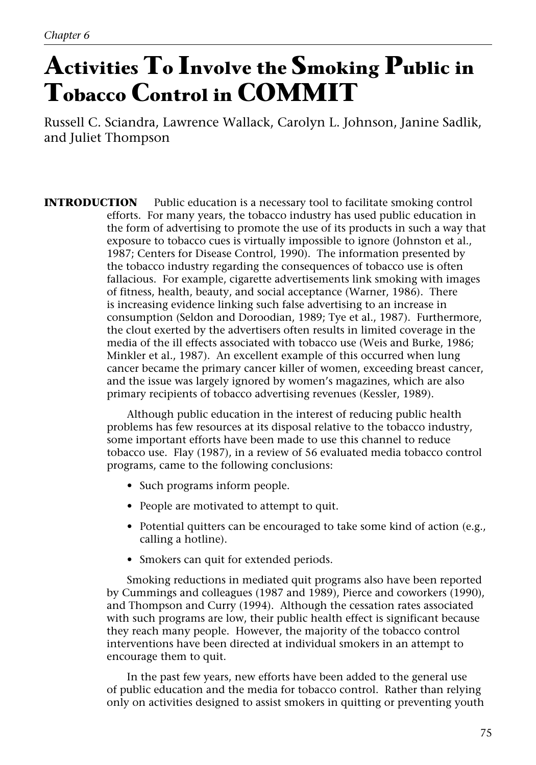# **Activities To Involve the Smoking Public in Tobacco Control in COMMIT**

Russell C. Sciandra, Lawrence Wallack, Carolyn L. Johnson, Janine Sadlik, and Juliet Thompson

**INTRODUCTION** Public education is a necessary tool to facilitate smoking control efforts. For many years, the tobacco industry has used public education in the form of advertising to promote the use of its products in such a way that exposure to tobacco cues is virtually impossible to ignore (Johnston et al., 1987; Centers for Disease Control, 1990). The information presented by the tobacco industry regarding the consequences of tobacco use is often fallacious. For example, cigarette advertisements link smoking with images of fitness, health, beauty, and social acceptance (Warner, 1986). There is increasing evidence linking such false advertising to an increase in consumption (Seldon and Doroodian, 1989; Tye et al., 1987). Furthermore, the clout exerted by the advertisers often results in limited coverage in the media of the ill effects associated with tobacco use (Weis and Burke, 1986; Minkler et al., 1987). An excellent example of this occurred when lung cancer became the primary cancer killer of women, exceeding breast cancer, and the issue was largely ignored by women's magazines, which are also primary recipients of tobacco advertising revenues (Kessler, 1989).

> Although public education in the interest of reducing public health problems has few resources at its disposal relative to the tobacco industry, some important efforts have been made to use this channel to reduce tobacco use. Flay (1987), in a review of 56 evaluated media tobacco control programs, came to the following conclusions:

- Such programs inform people.
- People are motivated to attempt to quit.
- Potential quitters can be encouraged to take some kind of action (e.g., calling a hotline).
- Smokers can quit for extended periods.

Smoking reductions in mediated quit programs also have been reported by Cummings and colleagues (1987 and 1989), Pierce and coworkers (1990), and Thompson and Curry (1994). Although the cessation rates associated with such programs are low, their public health effect is significant because they reach many people. However, the majority of the tobacco control interventions have been directed at individual smokers in an attempt to encourage them to quit.

In the past few years, new efforts have been added to the general use of public education and the media for tobacco control. Rather than relying only on activities designed to assist smokers in quitting or preventing youth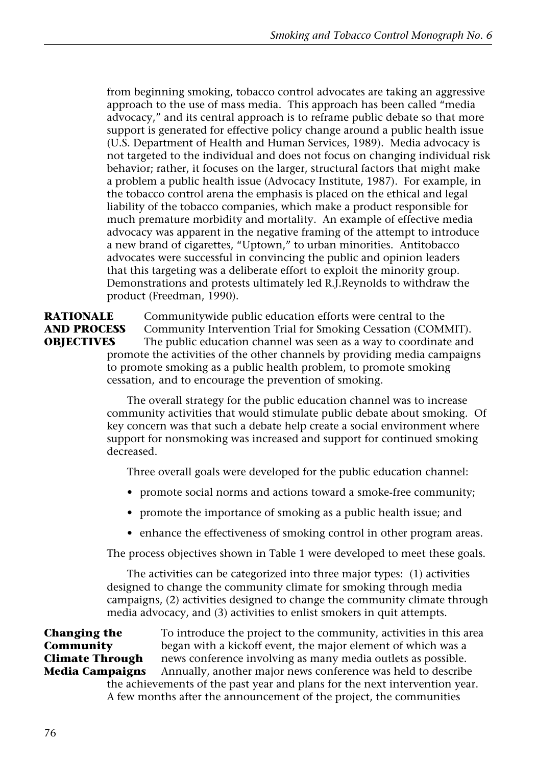from beginning smoking, tobacco control advocates are taking an aggressive approach to the use of mass media. This approach has been called "media advocacy," and its central approach is to reframe public debate so that more support is generated for effective policy change around a public health issue (U.S. Department of Health and Human Services, 1989). Media advocacy is not targeted to the individual and does not focus on changing individual risk behavior; rather, it focuses on the larger, structural factors that might make a problem a public health issue (Advocacy Institute, 1987). For example, in the tobacco control arena the emphasis is placed on the ethical and legal liability of the tobacco companies, which make a product responsible for much premature morbidity and mortality. An example of effective media advocacy was apparent in the negative framing of the attempt to introduce a new brand of cigarettes, "Uptown," to urban minorities. Antitobacco advocates were successful in convincing the public and opinion leaders that this targeting was a deliberate effort to exploit the minority group. Demonstrations and protests ultimately led R.J.Reynolds to withdraw the product (Freedman, 1990).

# **RATIONALE** Communitywide public education efforts were central to the **AND PROCESS** Community Intervention Trial for Smoking Cessation (COMMIT). **OBJECTIVES** The public education channel was seen as a way to coordinate and promote the activities of the other channels by providing media campaigns to promote smoking as a public health problem, to promote smoking cessation, and to encourage the prevention of smoking.

The overall strategy for the public education channel was to increase community activities that would stimulate public debate about smoking. Of key concern was that such a debate help create a social environment where support for nonsmoking was increased and support for continued smoking decreased.

Three overall goals were developed for the public education channel:

- promote social norms and actions toward a smoke-free community;
- promote the importance of smoking as a public health issue; and
- enhance the effectiveness of smoking control in other program areas.

The process objectives shown in Table 1 were developed to meet these goals.

The activities can be categorized into three major types: (1) activities designed to change the community climate for smoking through media campaigns, (2) activities designed to change the community climate through media advocacy, and (3) activities to enlist smokers in quit attempts.

**Changing the** To introduce the project to the community, activities in this area **Community** began with a kickoff event, the major element of which was a **Climate Through** news conference involving as many media outlets as possible. **Media Campaigns** Annually, another major news conference was held to describe the achievements of the past year and plans for the next intervention year. A few months after the announcement of the project, the communities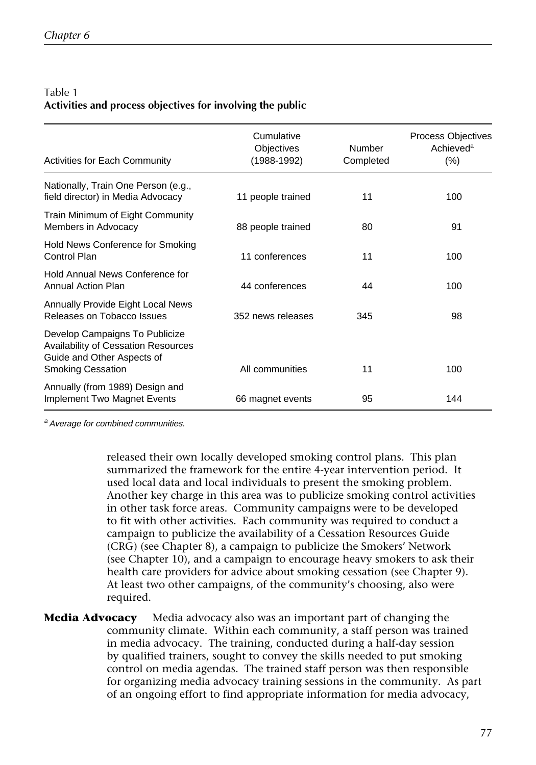# Table 1 **Activities and process objectives for involving the public**

| <b>Activities for Each Community</b>                                                                                            | Cumulative<br><b>Objectives</b><br>$(1988-1992)$ | Number<br>Completed | <b>Process Objectives</b><br>Achieved <sup>a</sup><br>(% ) |
|---------------------------------------------------------------------------------------------------------------------------------|--------------------------------------------------|---------------------|------------------------------------------------------------|
| Nationally, Train One Person (e.g.,<br>field director) in Media Advocacy                                                        | 11 people trained                                | 11                  | 100                                                        |
| Train Minimum of Eight Community<br>Members in Advocacy                                                                         | 88 people trained                                | 80                  | 91                                                         |
| Hold News Conference for Smoking<br><b>Control Plan</b>                                                                         | 11 conferences                                   | 11                  | 100                                                        |
| Hold Annual News Conference for<br>Annual Action Plan                                                                           | 44 conferences                                   | 44                  | 100                                                        |
| Annually Provide Eight Local News<br>Releases on Tobacco Issues                                                                 | 352 news releases                                | 345                 | 98                                                         |
| Develop Campaigns To Publicize<br>Availability of Cessation Resources<br>Guide and Other Aspects of<br><b>Smoking Cessation</b> | All communities                                  | 11                  | 100                                                        |
| Annually (from 1989) Design and<br>Implement Two Magnet Events                                                                  | 66 magnet events                                 | 95                  | 144                                                        |

<sup>a</sup> Average for combined communities.

released their own locally developed smoking control plans. This plan summarized the framework for the entire 4-year intervention period. It used local data and local individuals to present the smoking problem. Another key charge in this area was to publicize smoking control activities in other task force areas. Community campaigns were to be developed to fit with other activities. Each community was required to conduct a campaign to publicize the availability of a Cessation Resources Guide (CRG) (see Chapter 8), a campaign to publicize the Smokers' Network (see Chapter 10), and a campaign to encourage heavy smokers to ask their health care providers for advice about smoking cessation (see Chapter 9). At least two other campaigns, of the community's choosing, also were required.

**Media Advocacy** Media advocacy also was an important part of changing the community climate. Within each community, a staff person was trained in media advocacy. The training, conducted during a half-day session by qualified trainers, sought to convey the skills needed to put smoking control on media agendas. The trained staff person was then responsible for organizing media advocacy training sessions in the community. As part of an ongoing effort to find appropriate information for media advocacy,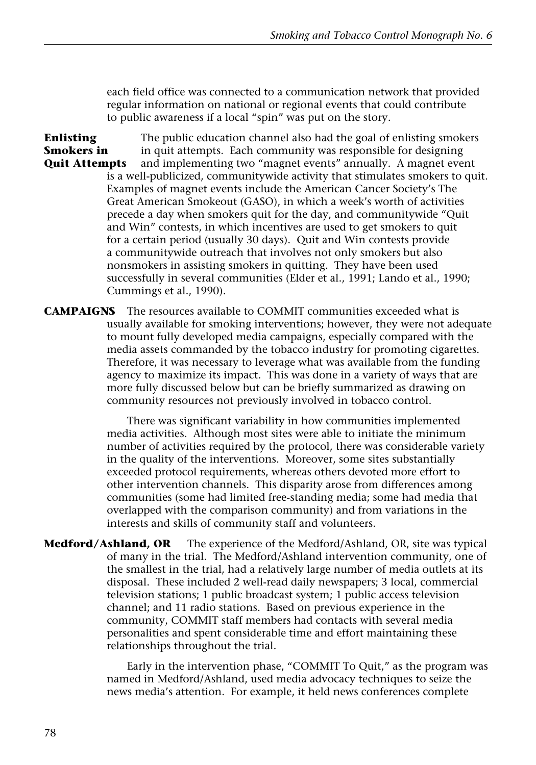each field office was connected to a communication network that provided regular information on national or regional events that could contribute to public awareness if a local "spin" was put on the story.

**Enlisting** The public education channel also had the goal of enlisting smokers **Smokers in** in quit attempts. Each community was responsible for designing **Quit Attempts** and implementing two "magnet events" annually. A magnet event is a well-publicized, communitywide activity that stimulates smokers to quit. Examples of magnet events include the American Cancer Society's The Great American Smokeout (GASO), in which a week's worth of activities precede a day when smokers quit for the day, and communitywide "Quit and Win" contests, in which incentives are used to get smokers to quit for a certain period (usually 30 days). Quit and Win contests provide a communitywide outreach that involves not only smokers but also nonsmokers in assisting smokers in quitting. They have been used successfully in several communities (Elder et al., 1991; Lando et al., 1990; Cummings et al., 1990).

**CAMPAIGNS** The resources available to COMMIT communities exceeded what is usually available for smoking interventions; however, they were not adequate to mount fully developed media campaigns, especially compared with the media assets commanded by the tobacco industry for promoting cigarettes. Therefore, it was necessary to leverage what was available from the funding agency to maximize its impact. This was done in a variety of ways that are more fully discussed below but can be briefly summarized as drawing on community resources not previously involved in tobacco control.

> There was significant variability in how communities implemented media activities. Although most sites were able to initiate the minimum number of activities required by the protocol, there was considerable variety in the quality of the interventions. Moreover, some sites substantially exceeded protocol requirements, whereas others devoted more effort to other intervention channels. This disparity arose from differences among communities (some had limited free-standing media; some had media that overlapped with the comparison community) and from variations in the interests and skills of community staff and volunteers.

**Medford/Ashland, OR** The experience of the Medford/Ashland, OR, site was typical of many in the trial. The Medford/Ashland intervention community, one of the smallest in the trial, had a relatively large number of media outlets at its disposal. These included 2 well-read daily newspapers; 3 local, commercial television stations; 1 public broadcast system; 1 public access television channel; and 11 radio stations. Based on previous experience in the community, COMMIT staff members had contacts with several media personalities and spent considerable time and effort maintaining these relationships throughout the trial.

> Early in the intervention phase, "COMMIT To Quit," as the program was named in Medford/Ashland, used media advocacy techniques to seize the news media's attention. For example, it held news conferences complete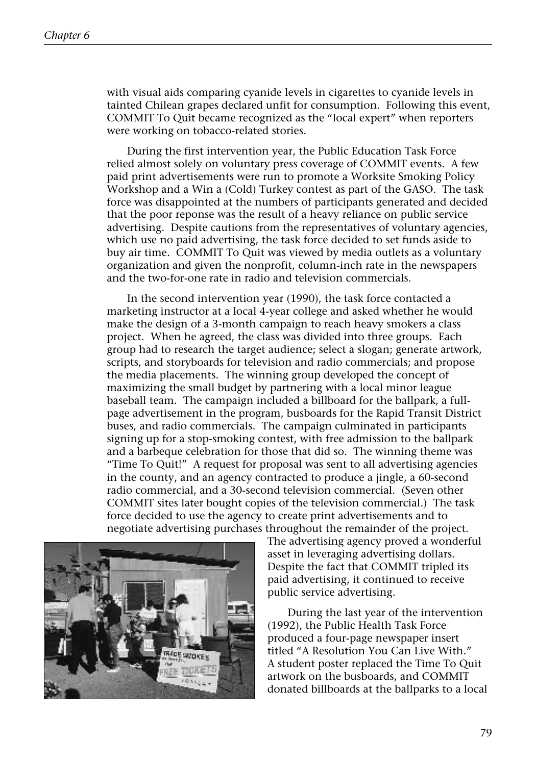with visual aids comparing cyanide levels in cigarettes to cyanide levels in tainted Chilean grapes declared unfit for consumption. Following this event, COMMIT To Quit became recognized as the "local expert" when reporters were working on tobacco-related stories.

During the first intervention year, the Public Education Task Force relied almost solely on voluntary press coverage of COMMIT events. A few paid print advertisements were run to promote a Worksite Smoking Policy Workshop and a Win a (Cold) Turkey contest as part of the GASO. The task force was disappointed at the numbers of participants generated and decided that the poor reponse was the result of a heavy reliance on public service advertising. Despite cautions from the representatives of voluntary agencies, which use no paid advertising, the task force decided to set funds aside to buy air time. COMMIT To Quit was viewed by media outlets as a voluntary organization and given the nonprofit, column-inch rate in the newspapers and the two-for-one rate in radio and television commercials.

In the second intervention year (1990), the task force contacted a marketing instructor at a local 4-year college and asked whether he would make the design of a 3-month campaign to reach heavy smokers a class project. When he agreed, the class was divided into three groups. Each group had to research the target audience; select a slogan; generate artwork, scripts, and storyboards for television and radio commercials; and propose the media placements. The winning group developed the concept of maximizing the small budget by partnering with a local minor league baseball team. The campaign included a billboard for the ballpark, a fullpage advertisement in the program, busboards for the Rapid Transit District buses, and radio commercials. The campaign culminated in participants signing up for a stop-smoking contest, with free admission to the ballpark and a barbeque celebration for those that did so. The winning theme was "Time To Quit!" A request for proposal was sent to all advertising agencies in the county, and an agency contracted to produce a jingle, a 60-second radio commercial, and a 30-second television commercial. (Seven other COMMIT sites later bought copies of the television commercial.) The task force decided to use the agency to create print advertisements and to negotiate advertising purchases throughout the remainder of the project.



The advertising agency proved a wonderful asset in leveraging advertising dollars. Despite the fact that COMMIT tripled its paid advertising, it continued to receive public service advertising.

During the last year of the intervention (1992), the Public Health Task Force produced a four-page newspaper insert titled "A Resolution You Can Live With." A student poster replaced the Time To Quit artwork on the busboards, and COMMIT donated billboards at the ballparks to a local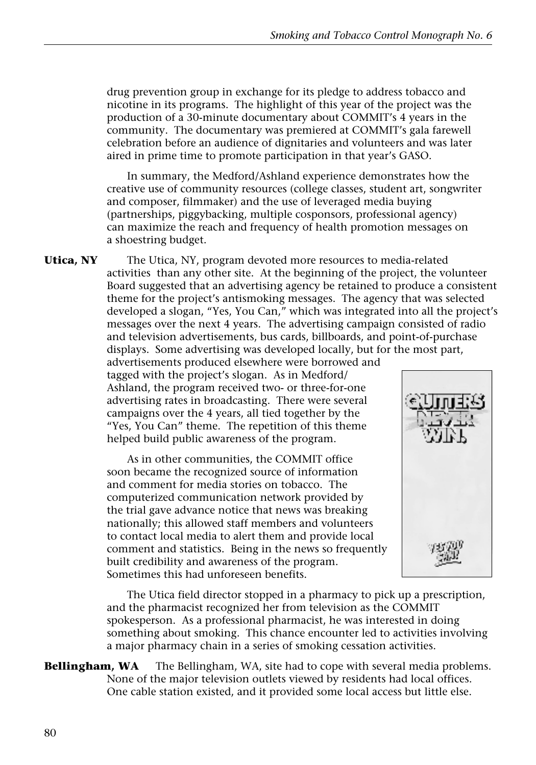drug prevention group in exchange for its pledge to address tobacco and nicotine in its programs. The highlight of this year of the project was the production of a 30-minute documentary about COMMIT's 4 years in the community. The documentary was premiered at COMMIT's gala farewell celebration before an audience of dignitaries and volunteers and was later aired in prime time to promote participation in that year's GASO.

In summary, the Medford/Ashland experience demonstrates how the creative use of community resources (college classes, student art, songwriter and composer, filmmaker) and the use of leveraged media buying (partnerships, piggybacking, multiple cosponsors, professional agency) can maximize the reach and frequency of health promotion messages on a shoestring budget.

**Utica, NY** The Utica, NY, program devoted more resources to media-related activities than any other site. At the beginning of the project, the volunteer Board suggested that an advertising agency be retained to produce a consistent theme for the project's antismoking messages. The agency that was selected developed a slogan, "Yes, You Can," which was integrated into all the project's messages over the next 4 years. The advertising campaign consisted of radio and television advertisements, bus cards, billboards, and point-of-purchase displays. Some advertising was developed locally, but for the most part, advertisements produced elsewhere were borrowed and

tagged with the project's slogan. As in Medford/ Ashland, the program received two- or three-for-one advertising rates in broadcasting. There were several campaigns over the 4 years, all tied together by the "Yes, You Can" theme. The repetition of this theme helped build public awareness of the program.

As in other communities, the COMMIT office soon became the recognized source of information and comment for media stories on tobacco. The computerized communication network provided by the trial gave advance notice that news was breaking nationally; this allowed staff members and volunteers to contact local media to alert them and provide local comment and statistics. Being in the news so frequently built credibility and awareness of the program. Sometimes this had unforeseen benefits.



The Utica field director stopped in a pharmacy to pick up a prescription, and the pharmacist recognized her from television as the COMMIT spokesperson. As a professional pharmacist, he was interested in doing something about smoking. This chance encounter led to activities involving a major pharmacy chain in a series of smoking cessation activities.

**Bellingham, WA** The Bellingham, WA, site had to cope with several media problems. None of the major television outlets viewed by residents had local offices. One cable station existed, and it provided some local access but little else.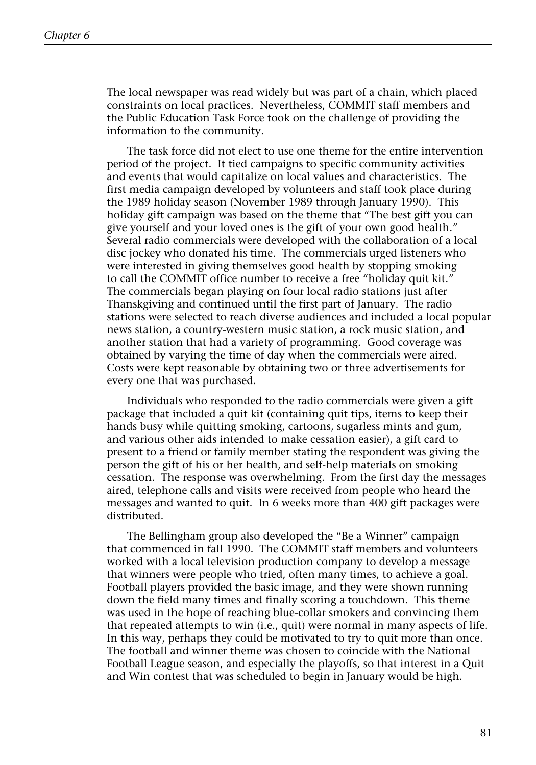The local newspaper was read widely but was part of a chain, which placed constraints on local practices. Nevertheless, COMMIT staff members and the Public Education Task Force took on the challenge of providing the information to the community.

The task force did not elect to use one theme for the entire intervention period of the project. It tied campaigns to specific community activities and events that would capitalize on local values and characteristics. The first media campaign developed by volunteers and staff took place during the 1989 holiday season (November 1989 through January 1990). This holiday gift campaign was based on the theme that "The best gift you can give yourself and your loved ones is the gift of your own good health." Several radio commercials were developed with the collaboration of a local disc jockey who donated his time. The commercials urged listeners who were interested in giving themselves good health by stopping smoking to call the COMMIT office number to receive a free "holiday quit kit." The commercials began playing on four local radio stations just after Thanskgiving and continued until the first part of January. The radio stations were selected to reach diverse audiences and included a local popular news station, a country-western music station, a rock music station, and another station that had a variety of programming. Good coverage was obtained by varying the time of day when the commercials were aired. Costs were kept reasonable by obtaining two or three advertisements for every one that was purchased.

Individuals who responded to the radio commercials were given a gift package that included a quit kit (containing quit tips, items to keep their hands busy while quitting smoking, cartoons, sugarless mints and gum, and various other aids intended to make cessation easier), a gift card to present to a friend or family member stating the respondent was giving the person the gift of his or her health, and self-help materials on smoking cessation. The response was overwhelming. From the first day the messages aired, telephone calls and visits were received from people who heard the messages and wanted to quit. In 6 weeks more than 400 gift packages were distributed.

The Bellingham group also developed the "Be a Winner" campaign that commenced in fall 1990. The COMMIT staff members and volunteers worked with a local television production company to develop a message that winners were people who tried, often many times, to achieve a goal. Football players provided the basic image, and they were shown running down the field many times and finally scoring a touchdown. This theme was used in the hope of reaching blue-collar smokers and convincing them that repeated attempts to win (i.e., quit) were normal in many aspects of life. In this way, perhaps they could be motivated to try to quit more than once. The football and winner theme was chosen to coincide with the National Football League season, and especially the playoffs, so that interest in a Quit and Win contest that was scheduled to begin in January would be high.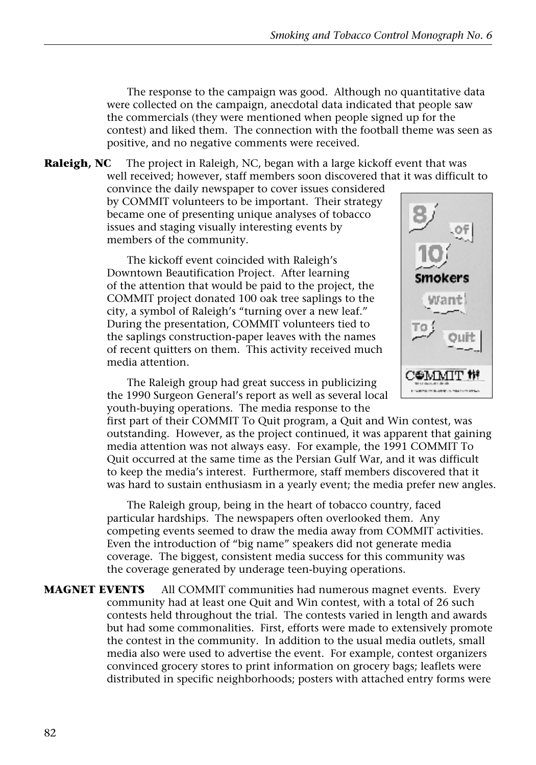The response to the campaign was good. Although no quantitative data were collected on the campaign, anecdotal data indicated that people saw the commercials (they were mentioned when people signed up for the contest) and liked them. The connection with the football theme was seen as positive, and no negative comments were received.

**Raleigh, NC** The project in Raleigh, NC, began with a large kickoff event that was well received; however, staff members soon discovered that it was difficult to

convince the daily newspaper to cover issues considered by COMMIT volunteers to be important. Their strategy became one of presenting unique analyses of tobacco issues and staging visually interesting events by members of the community.

The kickoff event coincided with Raleigh's Downtown Beautification Project. After learning of the attention that would be paid to the project, the COMMIT project donated 100 oak tree saplings to the city, a symbol of Raleigh's "turning over a new leaf." During the presentation, COMMIT volunteers tied to the saplings construction-paper leaves with the names of recent quitters on them. This activity received much media attention.

The Raleigh group had great success in publicizing the 1990 Surgeon General's report as well as several local youth-buying operations. The media response to the

first part of their COMMIT To Quit program, a Quit and Win contest, was outstanding. However, as the project continued, it was apparent that gaining media attention was not always easy. For example, the 1991 COMMIT To Quit occurred at the same time as the Persian Gulf War, and it was difficult to keep the media's interest. Furthermore, staff members discovered that it was hard to sustain enthusiasm in a yearly event; the media prefer new angles.

The Raleigh group, being in the heart of tobacco country, faced particular hardships. The newspapers often overlooked them. Any competing events seemed to draw the media away from COMMIT activities. Even the introduction of "big name" speakers did not generate media coverage. The biggest, consistent media success for this community was the coverage generated by underage teen-buying operations.

**MAGNET EVENTS** All COMMIT communities had numerous magnet events. Every community had at least one Quit and Win contest, with a total of 26 such contests held throughout the trial. The contests varied in length and awards but had some commonalities. First, efforts were made to extensively promote the contest in the community. In addition to the usual media outlets, small media also were used to advertise the event. For example, contest organizers convinced grocery stores to print information on grocery bags; leaflets were distributed in specific neighborhoods; posters with attached entry forms were

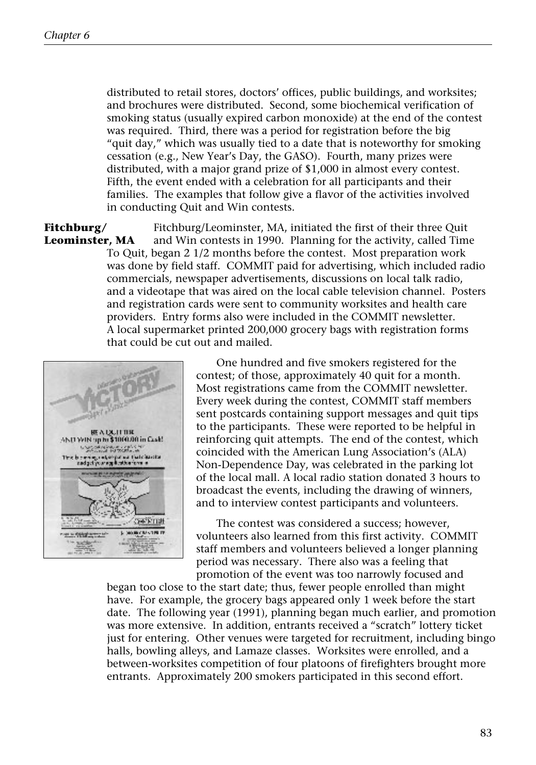distributed to retail stores, doctors' offices, public buildings, and worksites; and brochures were distributed. Second, some biochemical verification of smoking status (usually expired carbon monoxide) at the end of the contest was required. Third, there was a period for registration before the big "quit day," which was usually tied to a date that is noteworthy for smoking cessation (e.g., New Year's Day, the GASO). Fourth, many prizes were distributed, with a major grand prize of \$1,000 in almost every contest. Fifth, the event ended with a celebration for all participants and their families. The examples that follow give a flavor of the activities involved in conducting Quit and Win contests.

**Fitchburg/** Fitchburg/Leominster, MA, initiated the first of their three Quit **Leominster, MA** and Win contests in 1990. Planning for the activity, called Time To Quit, began 2 1/2 months before the contest. Most preparation work was done by field staff. COMMIT paid for advertising, which included radio commercials, newspaper advertisements, discussions on local talk radio, and a videotape that was aired on the local cable television channel. Posters and registration cards were sent to community worksites and health care providers. Entry forms also were included in the COMMIT newsletter. A local supermarket printed 200,000 grocery bags with registration forms that could be cut out and mailed.



One hundred and five smokers registered for the contest; of those, approximately 40 quit for a month. Most registrations came from the COMMIT newsletter. Every week during the contest, COMMIT staff members sent postcards containing support messages and quit tips to the participants. These were reported to be helpful in reinforcing quit attempts. The end of the contest, which coincided with the American Lung Association's (ALA) Non-Dependence Day, was celebrated in the parking lot of the local mall. A local radio station donated 3 hours to broadcast the events, including the drawing of winners, and to interview contest participants and volunteers.

The contest was considered a success; however, volunteers also learned from this first activity. COMMIT staff members and volunteers believed a longer planning period was necessary. There also was a feeling that promotion of the event was too narrowly focused and

began too close to the start date; thus, fewer people enrolled than might have. For example, the grocery bags appeared only 1 week before the start date. The following year (1991), planning began much earlier, and promotion was more extensive. In addition, entrants received a "scratch" lottery ticket just for entering. Other venues were targeted for recruitment, including bingo halls, bowling alleys, and Lamaze classes. Worksites were enrolled, and a between-worksites competition of four platoons of firefighters brought more entrants. Approximately 200 smokers participated in this second effort.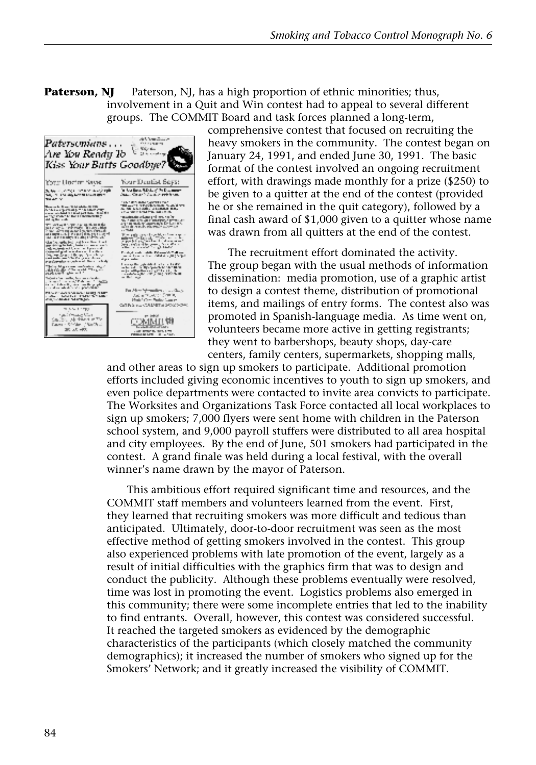**Paterson, NJ** Paterson, NJ, has a high proportion of ethnic minorities; thus, involvement in a Quit and Win contest had to appeal to several different groups. The COMMIT Board and task forces planned a long-term,

de la Terma Chamba<br>Contenente del Patersonians . . . *Are You Ready To* Kiss Your Buffs Goodbye? Your Deatlet Seys: segnituding the term s<br>Salah di Kabupatèn Kabupatèn Bang<br>Salah di Kabupatèn Kabupatèn 'n teather. Middle of the December<br>Same Canada The actor politicians e de l'American India<br>Antonio de la Parisa (di<br>Antonio de la Regiona del de bandaloj este<br>Statistiko este<br>Statistiko estekak<br>Parlamin estekak brylls an ann Machine (1974)<br>Tha Barratha (1975) an an Aonaichean<br>Bhailte an Aonaiche<br>Bhailte in album<br>San Barat<br>San Barat ya تمرية  $\begin{array}{ll} \mbox{For } M \mapsto \mathop{\mathrm{Sym}}\nolimits^{\mathop{\mathrm{dim}}\nolimits} \mathop{\mathrm{Hom}}\nolimits^{\mathop{\mathrm{dim}}\nolimits} \mathop{\mathrm{Hom}}\nolimits^{\mathop{\mathrm{dim}}\nolimits} \mathop{\mathrm{Hom}}\nolimits^{\mathop{\mathrm{dim}}\nolimits} \mathop{\mathrm{Hom}}\nolimits^{\mathop{\mathrm{dim}}\nolimits} \mathop{\mathrm{Hom}}\nolimits^{\mathop{\mathrm{dim}}\nolimits} \mathop{\mathrm{Hom}}\nolimits^{\mathop{\mathrm{dim}}\nolimits} \mathop{\mathrm{Hom}}\nolimits^{\mathop{\mathrm{dim}}$ n dan berasa dan berasa persanya.<br>Kabupaten Bangsung Persanya.<br>Kabupaten Bangsung X **CALLUM** - 500km /<br>第2次<del>代</del> an mara, any isa.<br>Manazara

comprehensive contest that focused on recruiting the heavy smokers in the community. The contest began on January 24, 1991, and ended June 30, 1991. The basic format of the contest involved an ongoing recruitment effort, with drawings made monthly for a prize (\$250) to be given to a quitter at the end of the contest (provided he or she remained in the quit category), followed by a final cash award of \$1,000 given to a quitter whose name was drawn from all quitters at the end of the contest.

The recruitment effort dominated the activity. The group began with the usual methods of information dissemination: media promotion, use of a graphic artist to design a contest theme, distribution of promotional items, and mailings of entry forms. The contest also was promoted in Spanish-language media. As time went on, volunteers became more active in getting registrants; they went to barbershops, beauty shops, day-care centers, family centers, supermarkets, shopping malls,

and other areas to sign up smokers to participate. Additional promotion efforts included giving economic incentives to youth to sign up smokers, and even police departments were contacted to invite area convicts to participate. The Worksites and Organizations Task Force contacted all local workplaces to sign up smokers; 7,000 flyers were sent home with children in the Paterson school system, and 9,000 payroll stuffers were distributed to all area hospital and city employees. By the end of June, 501 smokers had participated in the contest. A grand finale was held during a local festival, with the overall winner's name drawn by the mayor of Paterson.

This ambitious effort required significant time and resources, and the COMMIT staff members and volunteers learned from the event. First, they learned that recruiting smokers was more difficult and tedious than anticipated. Ultimately, door-to-door recruitment was seen as the most effective method of getting smokers involved in the contest. This group also experienced problems with late promotion of the event, largely as a result of initial difficulties with the graphics firm that was to design and conduct the publicity. Although these problems eventually were resolved, time was lost in promoting the event. Logistics problems also emerged in this community; there were some incomplete entries that led to the inability to find entrants. Overall, however, this contest was considered successful. It reached the targeted smokers as evidenced by the demographic characteristics of the participants (which closely matched the community demographics); it increased the number of smokers who signed up for the Smokers' Network; and it greatly increased the visibility of COMMIT.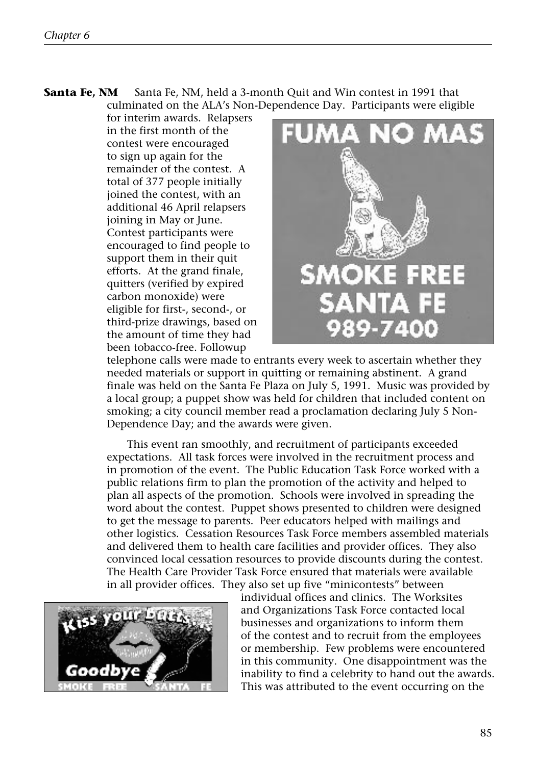**Santa Fe, NM** Santa Fe, NM, held a 3-month Quit and Win contest in 1991 that culminated on the ALA's Non-Dependence Day. Participants were eligible

for interim awards. Relapsers in the first month of the contest were encouraged to sign up again for the remainder of the contest. A total of 377 people initially joined the contest, with an additional 46 April relapsers joining in May or June. Contest participants were encouraged to find people to support them in their quit efforts. At the grand finale, quitters (verified by expired carbon monoxide) were eligible for first-, second-, or third-prize drawings, based on the amount of time they had been tobacco-free. Followup



telephone calls were made to entrants every week to ascertain whether they needed materials or support in quitting or remaining abstinent. A grand finale was held on the Santa Fe Plaza on July 5, 1991. Music was provided by a local group; a puppet show was held for children that included content on smoking; a city council member read a proclamation declaring July 5 Non-Dependence Day; and the awards were given.

This event ran smoothly, and recruitment of participants exceeded expectations. All task forces were involved in the recruitment process and in promotion of the event. The Public Education Task Force worked with a public relations firm to plan the promotion of the activity and helped to plan all aspects of the promotion. Schools were involved in spreading the word about the contest. Puppet shows presented to children were designed to get the message to parents. Peer educators helped with mailings and other logistics. Cessation Resources Task Force members assembled materials and delivered them to health care facilities and provider offices. They also convinced local cessation resources to provide discounts during the contest. The Health Care Provider Task Force ensured that materials were available in all provider offices. They also set up five "minicontests" between



individual offices and clinics. The Worksites and Organizations Task Force contacted local businesses and organizations to inform them of the contest and to recruit from the employees or membership. Few problems were encountered in this community. One disappointment was the inability to find a celebrity to hand out the awards. This was attributed to the event occurring on the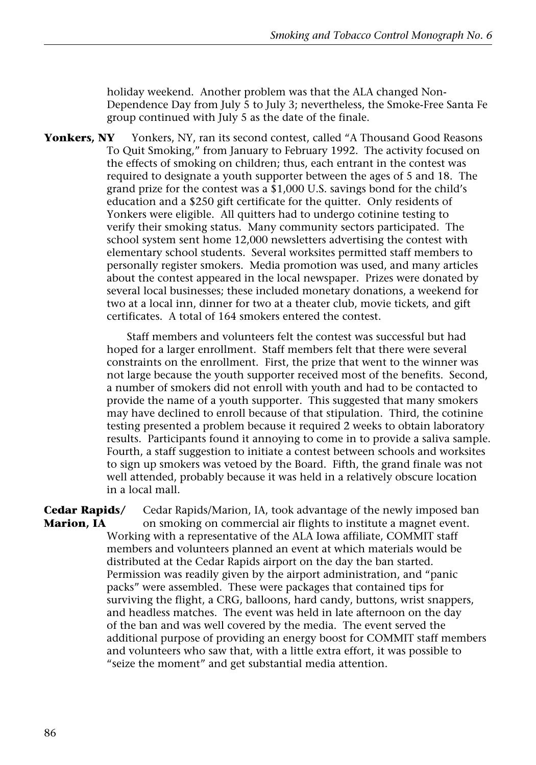holiday weekend. Another problem was that the ALA changed Non-Dependence Day from July 5 to July 3; nevertheless, the Smoke-Free Santa Fe group continued with July 5 as the date of the finale.

Yonkers, NY Yonkers, NY, ran its second contest, called "A Thousand Good Reasons To Quit Smoking," from January to February 1992. The activity focused on the effects of smoking on children; thus, each entrant in the contest was required to designate a youth supporter between the ages of 5 and 18. The grand prize for the contest was a \$1,000 U.S. savings bond for the child's education and a \$250 gift certificate for the quitter. Only residents of Yonkers were eligible. All quitters had to undergo cotinine testing to verify their smoking status. Many community sectors participated. The school system sent home 12,000 newsletters advertising the contest with elementary school students. Several worksites permitted staff members to personally register smokers. Media promotion was used, and many articles about the contest appeared in the local newspaper. Prizes were donated by several local businesses; these included monetary donations, a weekend for two at a local inn, dinner for two at a theater club, movie tickets, and gift certificates. A total of 164 smokers entered the contest.

> Staff members and volunteers felt the contest was successful but had hoped for a larger enrollment. Staff members felt that there were several constraints on the enrollment. First, the prize that went to the winner was not large because the youth supporter received most of the benefits. Second, a number of smokers did not enroll with youth and had to be contacted to provide the name of a youth supporter. This suggested that many smokers may have declined to enroll because of that stipulation. Third, the cotinine testing presented a problem because it required 2 weeks to obtain laboratory results. Participants found it annoying to come in to provide a saliva sample. Fourth, a staff suggestion to initiate a contest between schools and worksites to sign up smokers was vetoed by the Board. Fifth, the grand finale was not well attended, probably because it was held in a relatively obscure location in a local mall.

**Cedar Rapids/** Cedar Rapids/Marion, IA, took advantage of the newly imposed ban **Marion, IA** on smoking on commercial air flights to institute a magnet event. Working with a representative of the ALA Iowa affiliate, COMMIT staff members and volunteers planned an event at which materials would be distributed at the Cedar Rapids airport on the day the ban started. Permission was readily given by the airport administration, and "panic packs" were assembled. These were packages that contained tips for surviving the flight, a CRG, balloons, hard candy, buttons, wrist snappers, and headless matches. The event was held in late afternoon on the day of the ban and was well covered by the media. The event served the additional purpose of providing an energy boost for COMMIT staff members and volunteers who saw that, with a little extra effort, it was possible to "seize the moment" and get substantial media attention.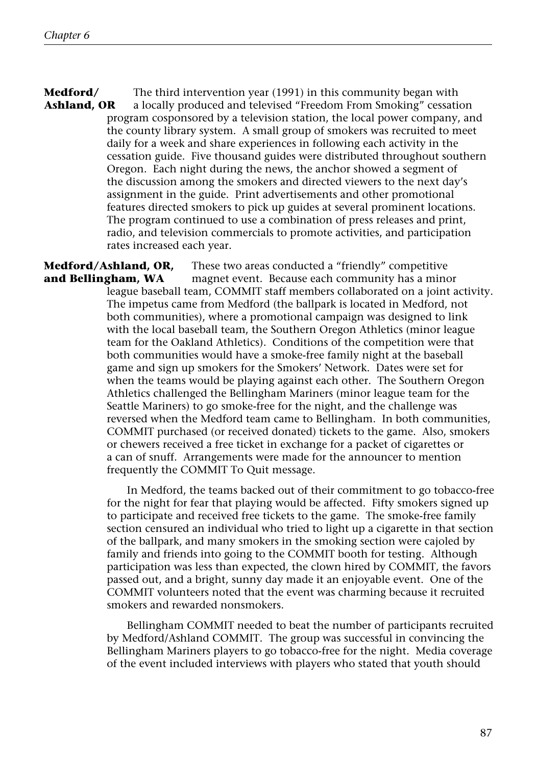**Medford/** The third intervention year (1991) in this community began with **Ashland, OR** a locally produced and televised "Freedom From Smoking" cessation program cosponsored by a television station, the local power company, and the county library system. A small group of smokers was recruited to meet daily for a week and share experiences in following each activity in the cessation guide. Five thousand guides were distributed throughout southern Oregon. Each night during the news, the anchor showed a segment of the discussion among the smokers and directed viewers to the next day's assignment in the guide. Print advertisements and other promotional features directed smokers to pick up guides at several prominent locations. The program continued to use a combination of press releases and print, radio, and television commercials to promote activities, and participation rates increased each year.

**Medford/Ashland, OR,** These two areas conducted a "friendly" competitive **and Bellingham, WA** magnet event. Because each community has a minor league baseball team, COMMIT staff members collaborated on a joint activity. The impetus came from Medford (the ballpark is located in Medford, not both communities), where a promotional campaign was designed to link with the local baseball team, the Southern Oregon Athletics (minor league team for the Oakland Athletics). Conditions of the competition were that both communities would have a smoke-free family night at the baseball game and sign up smokers for the Smokers' Network. Dates were set for when the teams would be playing against each other. The Southern Oregon Athletics challenged the Bellingham Mariners (minor league team for the Seattle Mariners) to go smoke-free for the night, and the challenge was reversed when the Medford team came to Bellingham. In both communities, COMMIT purchased (or received donated) tickets to the game. Also, smokers or chewers received a free ticket in exchange for a packet of cigarettes or a can of snuff. Arrangements were made for the announcer to mention frequently the COMMIT To Quit message.

> In Medford, the teams backed out of their commitment to go tobacco-free for the night for fear that playing would be affected. Fifty smokers signed up to participate and received free tickets to the game. The smoke-free family section censured an individual who tried to light up a cigarette in that section of the ballpark, and many smokers in the smoking section were cajoled by family and friends into going to the COMMIT booth for testing. Although participation was less than expected, the clown hired by COMMIT, the favors passed out, and a bright, sunny day made it an enjoyable event. One of the COMMIT volunteers noted that the event was charming because it recruited smokers and rewarded nonsmokers.

> Bellingham COMMIT needed to beat the number of participants recruited by Medford/Ashland COMMIT. The group was successful in convincing the Bellingham Mariners players to go tobacco-free for the night. Media coverage of the event included interviews with players who stated that youth should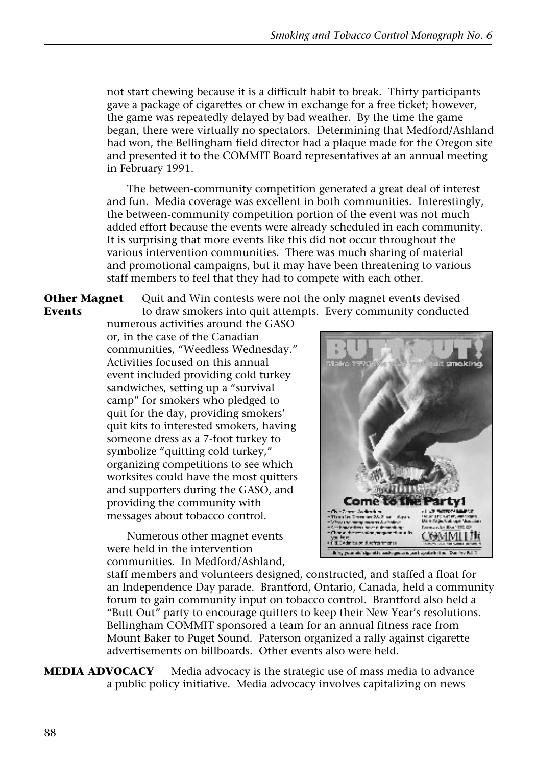not start chewing because it is a difficult habit to break. Thirty participants gave a package of cigarettes or chew in exchange for a free ticket; however, the game was repeatedly delayed by bad weather. By the time the game began, there were virtually no spectators. Determining that Medford/Ashland had won, the Bellingham field director had a plaque made for the Oregon site and presented it to the COMMIT Board representatives at an annual meeting in February 1991.

The between-community competition generated a great deal of interest and fun. Media coverage was excellent in both communities. Interestingly, the between-community competition portion of the event was not much added effort because the events were already scheduled in each community. It is surprising that more events like this did not occur throughout the various intervention communities. There was much sharing of material and promotional campaigns, but it may have been threatening to various staff members to feel that they had to compete with each other.

**Other Magnet** Quit and Win contests were not the only magnet events devised **Events** to draw smokers into quit attempts. Every community conducted

numerous activities around the GASO or, in the case of the Canadian communities, "Weedless Wednesday." Activities focused on this annual event included providing cold turkey sandwiches, setting up a "survival camp" for smokers who pledged to quit for the day, providing smokers' quit kits to interested smokers, having someone dress as a 7-foot turkey to symbolize "quitting cold turkey," organizing competitions to see which worksites could have the most quitters and supporters during the GASO, and providing the community with messages about tobacco control.

Numerous other magnet events were held in the intervention communities. In Medford/Ashland,



staff members and volunteers designed, constructed, and staffed a float for an Independence Day parade. Brantford, Ontario, Canada, held a community forum to gain community input on tobacco control. Brantford also held a "Butt Out" party to encourage quitters to keep their New Year's resolutions. Bellingham COMMIT sponsored a team for an annual fitness race from Mount Baker to Puget Sound. Paterson organized a rally against cigarette advertisements on billboards. Other events also were held.

**MEDIA ADVOCACY** Media advocacy is the strategic use of mass media to advance a public policy initiative. Media advocacy involves capitalizing on news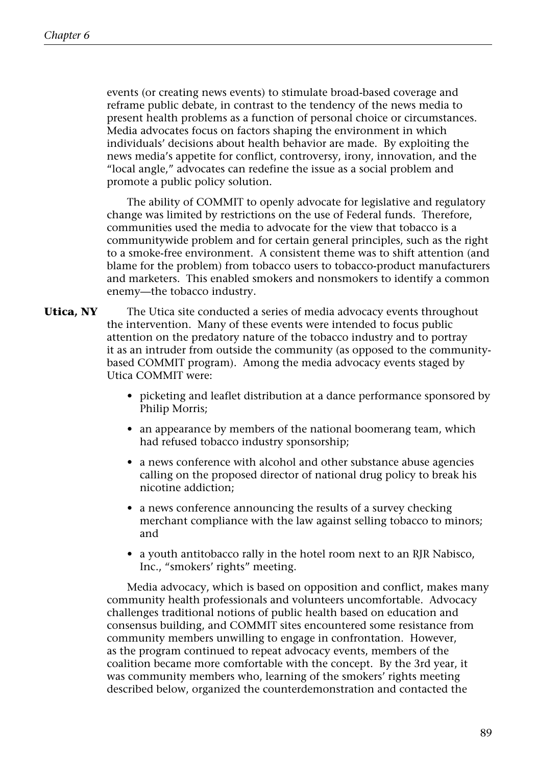events (or creating news events) to stimulate broad-based coverage and reframe public debate, in contrast to the tendency of the news media to present health problems as a function of personal choice or circumstances. Media advocates focus on factors shaping the environment in which individuals' decisions about health behavior are made. By exploiting the news media's appetite for conflict, controversy, irony, innovation, and the "local angle," advocates can redefine the issue as a social problem and promote a public policy solution.

The ability of COMMIT to openly advocate for legislative and regulatory change was limited by restrictions on the use of Federal funds. Therefore, communities used the media to advocate for the view that tobacco is a communitywide problem and for certain general principles, such as the right to a smoke-free environment. A consistent theme was to shift attention (and blame for the problem) from tobacco users to tobacco-product manufacturers and marketers. This enabled smokers and nonsmokers to identify a common enemy—the tobacco industry.

- **Utica, NY** The Utica site conducted a series of media advocacy events throughout the intervention. Many of these events were intended to focus public attention on the predatory nature of the tobacco industry and to portray it as an intruder from outside the community (as opposed to the communitybased COMMIT program). Among the media advocacy events staged by Utica COMMIT were:
	- picketing and leaflet distribution at a dance performance sponsored by Philip Morris;
	- an appearance by members of the national boomerang team, which had refused tobacco industry sponsorship;
	- a news conference with alcohol and other substance abuse agencies calling on the proposed director of national drug policy to break his nicotine addiction;
	- a news conference announcing the results of a survey checking merchant compliance with the law against selling tobacco to minors; and
	- a youth antitobacco rally in the hotel room next to an RJR Nabisco, Inc., "smokers' rights" meeting.

Media advocacy, which is based on opposition and conflict, makes many community health professionals and volunteers uncomfortable. Advocacy challenges traditional notions of public health based on education and consensus building, and COMMIT sites encountered some resistance from community members unwilling to engage in confrontation. However, as the program continued to repeat advocacy events, members of the coalition became more comfortable with the concept. By the 3rd year, it was community members who, learning of the smokers' rights meeting described below, organized the counterdemonstration and contacted the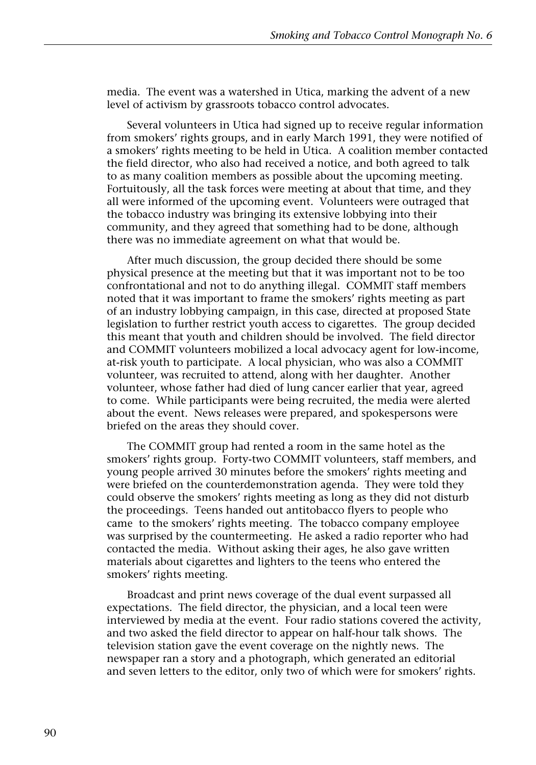media. The event was a watershed in Utica, marking the advent of a new level of activism by grassroots tobacco control advocates.

Several volunteers in Utica had signed up to receive regular information from smokers' rights groups, and in early March 1991, they were notified of a smokers' rights meeting to be held in Utica. A coalition member contacted the field director, who also had received a notice, and both agreed to talk to as many coalition members as possible about the upcoming meeting. Fortuitously, all the task forces were meeting at about that time, and they all were informed of the upcoming event. Volunteers were outraged that the tobacco industry was bringing its extensive lobbying into their community, and they agreed that something had to be done, although there was no immediate agreement on what that would be.

After much discussion, the group decided there should be some physical presence at the meeting but that it was important not to be too confrontational and not to do anything illegal. COMMIT staff members noted that it was important to frame the smokers' rights meeting as part of an industry lobbying campaign, in this case, directed at proposed State legislation to further restrict youth access to cigarettes. The group decided this meant that youth and children should be involved. The field director and COMMIT volunteers mobilized a local advocacy agent for low-income, at-risk youth to participate. A local physician, who was also a COMMIT volunteer, was recruited to attend, along with her daughter. Another volunteer, whose father had died of lung cancer earlier that year, agreed to come. While participants were being recruited, the media were alerted about the event. News releases were prepared, and spokespersons were briefed on the areas they should cover.

The COMMIT group had rented a room in the same hotel as the smokers' rights group. Forty-two COMMIT volunteers, staff members, and young people arrived 30 minutes before the smokers' rights meeting and were briefed on the counterdemonstration agenda. They were told they could observe the smokers' rights meeting as long as they did not disturb the proceedings. Teens handed out antitobacco flyers to people who came to the smokers' rights meeting. The tobacco company employee was surprised by the countermeeting. He asked a radio reporter who had contacted the media. Without asking their ages, he also gave written materials about cigarettes and lighters to the teens who entered the smokers' rights meeting.

Broadcast and print news coverage of the dual event surpassed all expectations. The field director, the physician, and a local teen were interviewed by media at the event. Four radio stations covered the activity, and two asked the field director to appear on half-hour talk shows. The television station gave the event coverage on the nightly news. The newspaper ran a story and a photograph, which generated an editorial and seven letters to the editor, only two of which were for smokers' rights.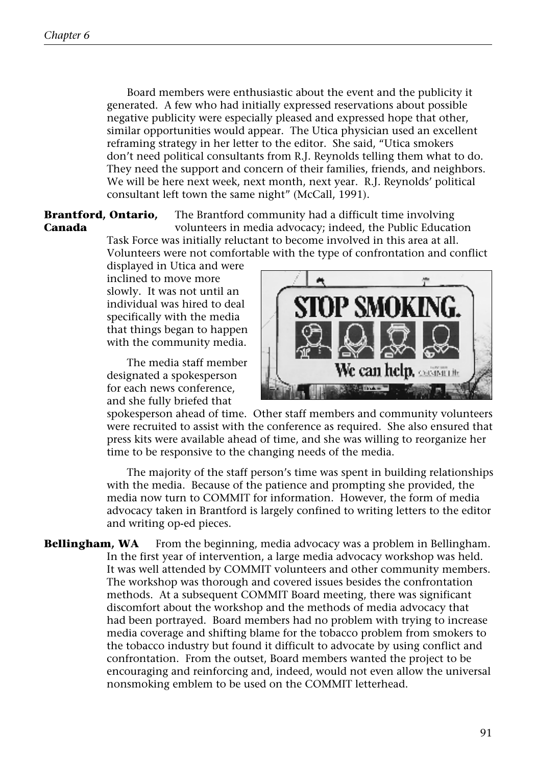Board members were enthusiastic about the event and the publicity it generated. A few who had initially expressed reservations about possible negative publicity were especially pleased and expressed hope that other, similar opportunities would appear. The Utica physician used an excellent reframing strategy in her letter to the editor. She said, "Utica smokers don't need political consultants from R.J. Reynolds telling them what to do. They need the support and concern of their families, friends, and neighbors. We will be here next week, next month, next year. R.J. Reynolds' political consultant left town the same night" (McCall, 1991).

## **Brantford, Ontario,** The Brantford community had a difficult time involving **Canada** volunteers in media advocacy; indeed, the Public Education Task Force was initially reluctant to become involved in this area at all.

Volunteers were not comfortable with the type of confrontation and conflict

displayed in Utica and were inclined to move more slowly. It was not until an individual was hired to deal specifically with the media that things began to happen with the community media.

The media staff member designated a spokesperson for each news conference, and she fully briefed that



spokesperson ahead of time. Other staff members and community volunteers were recruited to assist with the conference as required. She also ensured that press kits were available ahead of time, and she was willing to reorganize her time to be responsive to the changing needs of the media.

The majority of the staff person's time was spent in building relationships with the media. Because of the patience and prompting she provided, the media now turn to COMMIT for information. However, the form of media advocacy taken in Brantford is largely confined to writing letters to the editor and writing op-ed pieces.

**Bellingham, WA** From the beginning, media advocacy was a problem in Bellingham. In the first year of intervention, a large media advocacy workshop was held. It was well attended by COMMIT volunteers and other community members. The workshop was thorough and covered issues besides the confrontation methods. At a subsequent COMMIT Board meeting, there was significant discomfort about the workshop and the methods of media advocacy that had been portrayed. Board members had no problem with trying to increase media coverage and shifting blame for the tobacco problem from smokers to the tobacco industry but found it difficult to advocate by using conflict and confrontation. From the outset, Board members wanted the project to be encouraging and reinforcing and, indeed, would not even allow the universal nonsmoking emblem to be used on the COMMIT letterhead.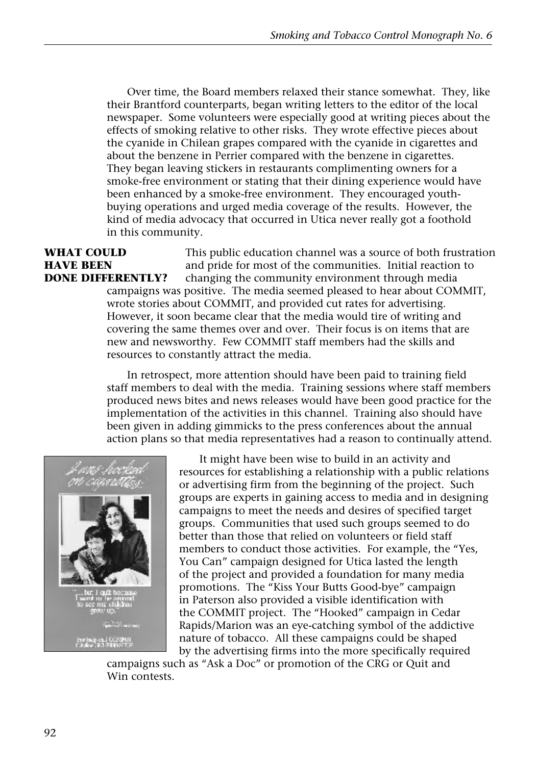Over time, the Board members relaxed their stance somewhat. They, like their Brantford counterparts, began writing letters to the editor of the local newspaper. Some volunteers were especially good at writing pieces about the effects of smoking relative to other risks. They wrote effective pieces about the cyanide in Chilean grapes compared with the cyanide in cigarettes and about the benzene in Perrier compared with the benzene in cigarettes. They began leaving stickers in restaurants complimenting owners for a smoke-free environment or stating that their dining experience would have been enhanced by a smoke-free environment. They encouraged youthbuying operations and urged media coverage of the results. However, the kind of media advocacy that occurred in Utica never really got a foothold in this community.

**WHAT COULD** This public education channel was a source of both frustration **HAVE BEEN** and pride for most of the communities. Initial reaction to **DONE DIFFERENTLY?** changing the community environment through media campaigns was positive. The media seemed pleased to hear about COMMIT, wrote stories about COMMIT, and provided cut rates for advertising. However, it soon became clear that the media would tire of writing and covering the same themes over and over. Their focus is on items that are new and newsworthy. Few COMMIT staff members had the skills and resources to constantly attract the media.

> In retrospect, more attention should have been paid to training field staff members to deal with the media. Training sessions where staff members produced news bites and news releases would have been good practice for the implementation of the activities in this channel. Training also should have been given in adding gimmicks to the press conferences about the annual action plans so that media representatives had a reason to continually attend.



It might have been wise to build in an activity and resources for establishing a relationship with a public relations or advertising firm from the beginning of the project. Such groups are experts in gaining access to media and in designing campaigns to meet the needs and desires of specified target groups. Communities that used such groups seemed to do better than those that relied on volunteers or field staff members to conduct those activities. For example, the "Yes, You Can" campaign designed for Utica lasted the length of the project and provided a foundation for many media promotions. The "Kiss Your Butts Good-bye" campaign in Paterson also provided a visible identification with the COMMIT project. The "Hooked" campaign in Cedar Rapids/Marion was an eye-catching symbol of the addictive nature of tobacco. All these campaigns could be shaped by the advertising firms into the more specifically required

campaigns such as "Ask a Doc" or promotion of the CRG or Quit and Win contests.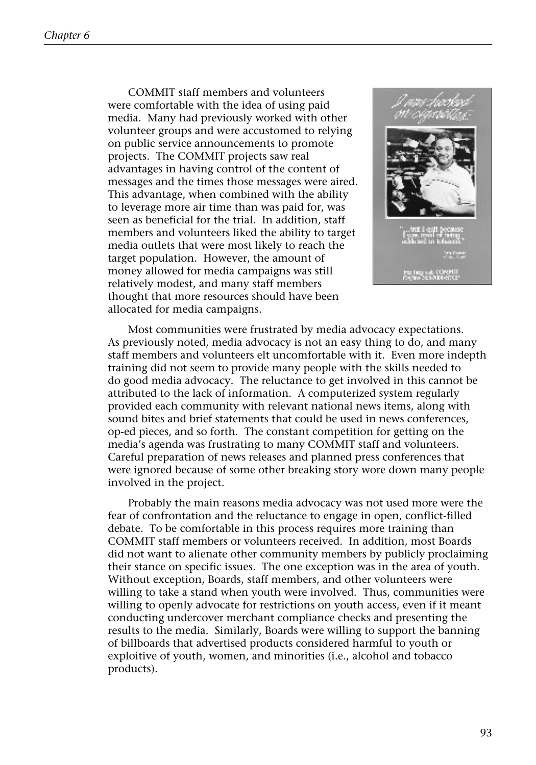COMMIT staff members and volunteers were comfortable with the idea of using paid media. Many had previously worked with other volunteer groups and were accustomed to relying on public service announcements to promote projects. The COMMIT projects saw real advantages in having control of the content of messages and the times those messages were aired. This advantage, when combined with the ability to leverage more air time than was paid for, was seen as beneficial for the trial. In addition, staff members and volunteers liked the ability to target media outlets that were most likely to reach the target population. However, the amount of money allowed for media campaigns was still relatively modest, and many staff members thought that more resources should have been allocated for media campaigns.



Most communities were frustrated by media advocacy expectations. As previously noted, media advocacy is not an easy thing to do, and many staff members and volunteers elt uncomfortable with it. Even more indepth training did not seem to provide many people with the skills needed to do good media advocacy. The reluctance to get involved in this cannot be attributed to the lack of information. A computerized system regularly provided each community with relevant national news items, along with sound bites and brief statements that could be used in news conferences, op-ed pieces, and so forth. The constant competition for getting on the media's agenda was frustrating to many COMMIT staff and volunteers. Careful preparation of news releases and planned press conferences that were ignored because of some other breaking story wore down many people involved in the project.

Probably the main reasons media advocacy was not used more were the fear of confrontation and the reluctance to engage in open, conflict-filled debate. To be comfortable in this process requires more training than COMMIT staff members or volunteers received. In addition, most Boards did not want to alienate other community members by publicly proclaiming their stance on specific issues. The one exception was in the area of youth. Without exception, Boards, staff members, and other volunteers were willing to take a stand when youth were involved. Thus, communities were willing to openly advocate for restrictions on youth access, even if it meant conducting undercover merchant compliance checks and presenting the results to the media. Similarly, Boards were willing to support the banning of billboards that advertised products considered harmful to youth or exploitive of youth, women, and minorities (i.e., alcohol and tobacco products).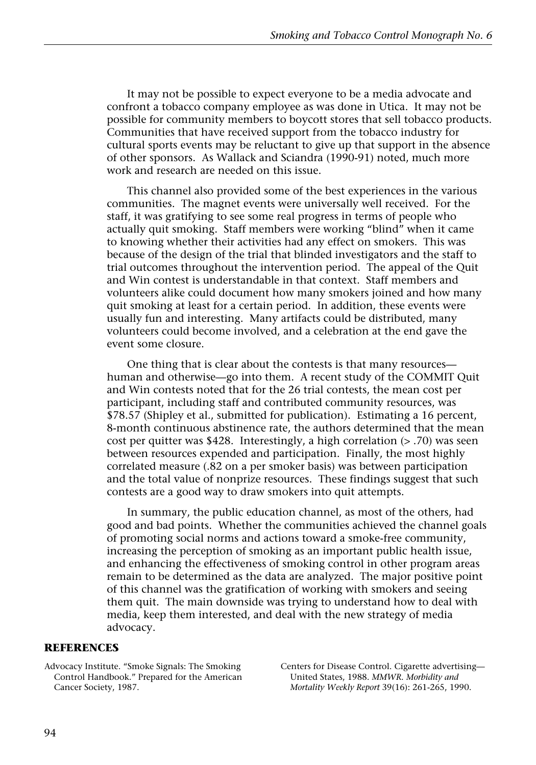It may not be possible to expect everyone to be a media advocate and confront a tobacco company employee as was done in Utica. It may not be possible for community members to boycott stores that sell tobacco products. Communities that have received support from the tobacco industry for cultural sports events may be reluctant to give up that support in the absence of other sponsors. As Wallack and Sciandra (1990-91) noted, much more work and research are needed on this issue.

This channel also provided some of the best experiences in the various communities. The magnet events were universally well received. For the staff, it was gratifying to see some real progress in terms of people who actually quit smoking. Staff members were working "blind" when it came to knowing whether their activities had any effect on smokers. This was because of the design of the trial that blinded investigators and the staff to trial outcomes throughout the intervention period. The appeal of the Quit and Win contest is understandable in that context. Staff members and volunteers alike could document how many smokers joined and how many quit smoking at least for a certain period. In addition, these events were usually fun and interesting. Many artifacts could be distributed, many volunteers could become involved, and a celebration at the end gave the event some closure.

One thing that is clear about the contests is that many resources human and otherwise—go into them. A recent study of the COMMIT Quit and Win contests noted that for the 26 trial contests, the mean cost per participant, including staff and contributed community resources, was \$78.57 (Shipley et al., submitted for publication). Estimating a 16 percent, 8-month continuous abstinence rate, the authors determined that the mean cost per quitter was  $$428$ . Interestingly, a high correlation  $(> .70)$  was seen between resources expended and participation. Finally, the most highly correlated measure (.82 on a per smoker basis) was between participation and the total value of nonprize resources. These findings suggest that such contests are a good way to draw smokers into quit attempts.

In summary, the public education channel, as most of the others, had good and bad points. Whether the communities achieved the channel goals of promoting social norms and actions toward a smoke-free community, increasing the perception of smoking as an important public health issue, and enhancing the effectiveness of smoking control in other program areas remain to be determined as the data are analyzed. The major positive point of this channel was the gratification of working with smokers and seeing them quit. The main downside was trying to understand how to deal with media, keep them interested, and deal with the new strategy of media advocacy.

### **REFERENCES**

Advocacy Institute. "Smoke Signals: The Smoking Control Handbook." Prepared for the American Cancer Society, 1987.

Centers for Disease Control. Cigarette advertising— United States, 1988. *MMWR. Morbidity and Mortality Weekly Report* 39(16): 261-265, 1990.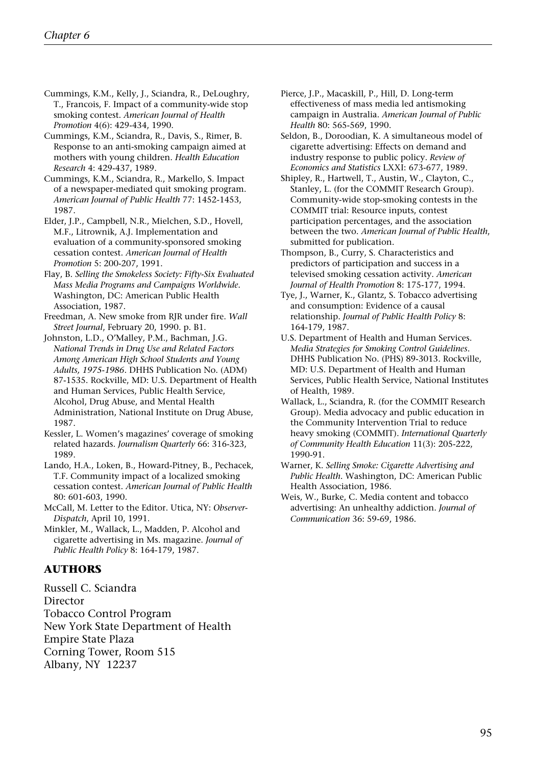- Cummings, K.M., Kelly, J., Sciandra, R., DeLoughry, T., Francois, F. Impact of a community-wide stop smoking contest. *American Journal of Health Promotion* 4(6): 429-434, 1990.
- Cummings, K.M., Sciandra, R., Davis, S., Rimer, B. Response to an anti-smoking campaign aimed at mothers with young children. *Health Education Research* 4: 429-437, 1989.
- Cummings, K.M., Sciandra, R., Markello, S. Impact of a newspaper-mediated quit smoking program. *American Journal of Public Health* 77: 1452-1453, 1987.
- Elder, J.P., Campbell, N.R., Mielchen, S.D., Hovell, M.F., Litrownik, A.J. Implementation and evaluation of a community-sponsored smoking cessation contest. *American Journal of Health Promotion* 5: 200-207, 1991.
- Flay, B. *Selling the Smokeless Society: Fifty-Six Evaluated Mass Media Programs and Campaigns Worldwide*. Washington, DC: American Public Health Association, 1987.
- Freedman, A. New smoke from RJR under fire. *Wall Street Journal*, February 20, 1990. p. B1.
- Johnston, L.D., O'Malley, P.M., Bachman, J.G. *National Trends in Drug Use and Related Factors Among American High School Students and Young Adults, 1975-1986*. DHHS Publication No. (ADM) 87-1535. Rockville, MD: U.S. Department of Health and Human Services, Public Health Service, Alcohol, Drug Abuse, and Mental Health Administration, National Institute on Drug Abuse, 1987.
- Kessler, L. Women's magazines' coverage of smoking related hazards. *Journalism Quarterly* 66: 316-323, 1989.
- Lando, H.A., Loken, B., Howard-Pitney, B., Pechacek, T.F. Community impact of a localized smoking cessation contest. *American Journal of Public Health* 80: 601-603, 1990.
- McCall, M. Letter to the Editor. Utica, NY: *Observer-Dispatch*, April 10, 1991.
- Minkler, M., Wallack, L., Madden, P. Alcohol and cigarette advertising in Ms. magazine. *Journal of Public Health Policy* 8: 164-179, 1987.

# **AUTHORS**

Russell C. Sciandra Director Tobacco Control Program New York State Department of Health Empire State Plaza Corning Tower, Room 515 Albany, NY 12237

- Pierce, J.P., Macaskill, P., Hill, D. Long-term effectiveness of mass media led antismoking campaign in Australia. *American Journal of Public Health* 80: 565-569, 1990.
- Seldon, B., Doroodian, K. A simultaneous model of cigarette advertising: Effects on demand and industry response to public policy. *Review of Economics and Statistics* LXXI: 673-677, 1989.
- Shipley, R., Hartwell, T., Austin, W., Clayton, C., Stanley, L. (for the COMMIT Research Group). Community-wide stop-smoking contests in the COMMIT trial: Resource inputs, contest participation percentages, and the association between the two. *American Journal of Public Health*, submitted for publication.
- Thompson, B., Curry, S. Characteristics and predictors of participation and success in a televised smoking cessation activity. *American Journal of Health Promotion* 8: 175-177, 1994.
- Tye, J., Warner, K., Glantz, S. Tobacco advertising and consumption: Evidence of a causal relationship. *Journal of Public Health Policy* 8: 164-179, 1987.
- U.S. Department of Health and Human Services. *Media Strategies for Smoking Control Guidelines*. DHHS Publication No. (PHS) 89-3013. Rockville, MD: U.S. Department of Health and Human Services, Public Health Service, National Institutes of Health, 1989.
- Wallack, L., Sciandra, R. (for the COMMIT Research Group). Media advocacy and public education in the Community Intervention Trial to reduce heavy smoking (COMMIT). *International Quarterly of Community Health Education* 11(3): 205-222, 1990-91.
- Warner, K. *Selling Smoke: Cigarette Advertising and Public Health*. Washington, DC: American Public Health Association, 1986.
- Weis, W., Burke, C. Media content and tobacco advertising: An unhealthy addiction. *Journal of Communication* 36: 59-69, 1986.